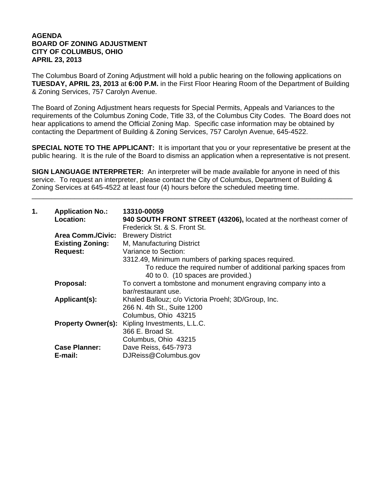## **AGENDA BOARD OF ZONING ADJUSTMENT CITY OF COLUMBUS, OHIO APRIL 23, 2013**

The Columbus Board of Zoning Adjustment will hold a public hearing on the following applications on **TUESDAY, APRIL 23, 2013** at **6:00 P.M.** in the First Floor Hearing Room of the Department of Building & Zoning Services, 757 Carolyn Avenue.

The Board of Zoning Adjustment hears requests for Special Permits, Appeals and Variances to the requirements of the Columbus Zoning Code, Title 33, of the Columbus City Codes. The Board does not hear applications to amend the Official Zoning Map. Specific case information may be obtained by contacting the Department of Building & Zoning Services, 757 Carolyn Avenue, 645-4522.

**SPECIAL NOTE TO THE APPLICANT:** It is important that you or your representative be present at the public hearing. It is the rule of the Board to dismiss an application when a representative is not present.

**SIGN LANGUAGE INTERPRETER:** An interpreter will be made available for anyone in need of this service. To request an interpreter, please contact the City of Columbus, Department of Building & Zoning Services at 645-4522 at least four (4) hours before the scheduled meeting time.

\_\_\_\_\_\_\_\_\_\_\_\_\_\_\_\_\_\_\_\_\_\_\_\_\_\_\_\_\_\_\_\_\_\_\_\_\_\_\_\_\_\_\_\_\_\_\_\_\_\_\_\_\_\_\_\_\_\_\_\_\_\_\_\_\_\_\_\_\_\_\_\_\_\_\_\_\_\_\_\_\_\_\_

| 1. | <b>Application No.:</b><br><b>Location:</b> | 13310-00059<br>940 SOUTH FRONT STREET (43206), located at the northeast corner of<br>Frederick St. & S. Front St. |
|----|---------------------------------------------|-------------------------------------------------------------------------------------------------------------------|
|    | <b>Area Comm./Civic:</b>                    | <b>Brewery District</b>                                                                                           |
|    | <b>Existing Zoning:</b>                     | M, Manufacturing District                                                                                         |
|    | <b>Request:</b>                             | Variance to Section:                                                                                              |
|    |                                             | 3312.49, Minimum numbers of parking spaces required.                                                              |
|    |                                             | To reduce the required number of additional parking spaces from<br>40 to 0. (10 spaces are provided.)             |
|    | Proposal:                                   | To convert a tombstone and monument engraving company into a<br>bar/restaurant use.                               |
|    | Applicant(s):                               | Khaled Ballouz; c/o Victoria Proehl; 3D/Group, Inc.                                                               |
|    |                                             | 266 N. 4th St., Suite 1200                                                                                        |
|    |                                             | Columbus, Ohio 43215                                                                                              |
|    |                                             | <b>Property Owner(s):</b> Kipling Investments, L.L.C.                                                             |
|    |                                             | 366 E. Broad St.                                                                                                  |
|    |                                             | Columbus, Ohio 43215                                                                                              |
|    | <b>Case Planner:</b>                        | Dave Reiss, 645-7973                                                                                              |
|    | E-mail:                                     | DJReiss@Columbus.gov                                                                                              |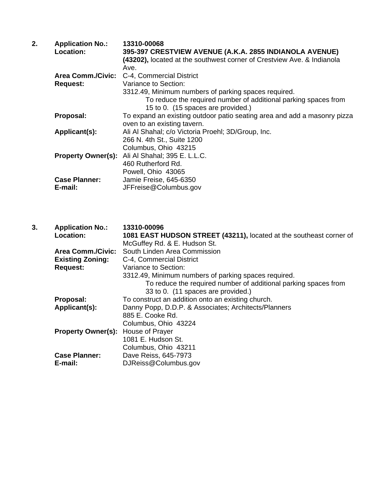| 2. | <b>Application No.:</b>   | 13310-00068                                                              |
|----|---------------------------|--------------------------------------------------------------------------|
|    | <b>Location:</b>          | 395-397 CRESTVIEW AVENUE (A.K.A. 2855 INDIANOLA AVENUE)                  |
|    |                           | (43202), located at the southwest corner of Crestview Ave. & Indianola   |
|    |                           | Ave.                                                                     |
|    | Area Comm./Civic:         | C-4, Commercial District                                                 |
|    | <b>Request:</b>           | Variance to Section:                                                     |
|    |                           | 3312.49, Minimum numbers of parking spaces required.                     |
|    |                           | To reduce the required number of additional parking spaces from          |
|    |                           | 15 to 0. (15 spaces are provided.)                                       |
|    | Proposal:                 | To expand an existing outdoor patio seating area and add a masonry pizza |
|    |                           | oven to an existing tavern.                                              |
|    | Applicant(s):             | Ali Al Shahal; c/o Victoria Proehl; 3D/Group, Inc.                       |
|    |                           | 266 N. 4th St., Suite 1200                                               |
|    |                           | Columbus, Ohio 43215                                                     |
|    | <b>Property Owner(s):</b> | Ali Al Shahal; 395 E. L.L.C.                                             |
|    |                           | 460 Rutherford Rd.                                                       |
|    |                           | Powell, Ohio 43065                                                       |
|    | <b>Case Planner:</b>      | Jamie Freise, 645-6350                                                   |
|    | E-mail:                   | JFFreise@Columbus.gov                                                    |
|    |                           |                                                                          |

| 3. | <b>Application No.:</b>   | 13310-00096                                                         |
|----|---------------------------|---------------------------------------------------------------------|
|    | <b>Location:</b>          | 1081 EAST HUDSON STREET (43211), located at the southeast corner of |
|    |                           | McGuffey Rd. & E. Hudson St.                                        |
|    | <b>Area Comm./Civic:</b>  | South Linden Area Commission                                        |
|    | <b>Existing Zoning:</b>   | C-4, Commercial District                                            |
|    | <b>Request:</b>           | Variance to Section:                                                |
|    |                           | 3312.49, Minimum numbers of parking spaces required.                |
|    |                           | To reduce the required number of additional parking spaces from     |
|    |                           | 33 to 0. (11 spaces are provided.)                                  |
|    | Proposal:                 | To construct an addition onto an existing church.                   |
|    | Applicant(s):             | Danny Popp, D.D.P. & Associates; Architects/Planners                |
|    |                           | 885 E. Cooke Rd.                                                    |
|    |                           | Columbus, Ohio 43224                                                |
|    | <b>Property Owner(s):</b> | House of Prayer                                                     |
|    |                           | 1081 E. Hudson St.                                                  |
|    |                           | Columbus, Ohio 43211                                                |
|    | <b>Case Planner:</b>      | Dave Reiss, 645-7973                                                |
|    | E-mail:                   | DJReiss@Columbus.gov                                                |
|    |                           |                                                                     |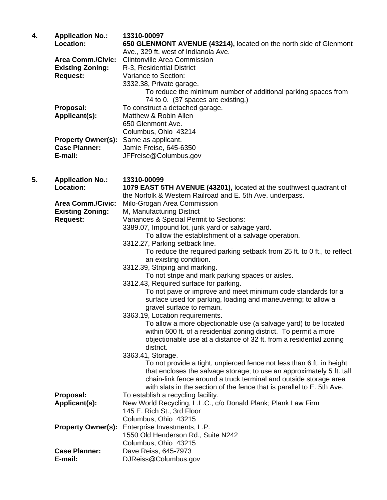| 4. | <b>Application No.:</b><br>Location:                                   | 13310-00097<br>650 GLENMONT AVENUE (43214), located on the north side of Glenmont                                                                                                                                                                                                                                                                                                                                                                                                                                                                                                                                                                                                                                                                                                                                                                                                                                                                                                                                                                                                         |
|----|------------------------------------------------------------------------|-------------------------------------------------------------------------------------------------------------------------------------------------------------------------------------------------------------------------------------------------------------------------------------------------------------------------------------------------------------------------------------------------------------------------------------------------------------------------------------------------------------------------------------------------------------------------------------------------------------------------------------------------------------------------------------------------------------------------------------------------------------------------------------------------------------------------------------------------------------------------------------------------------------------------------------------------------------------------------------------------------------------------------------------------------------------------------------------|
|    | <b>Area Comm./Civic:</b><br><b>Existing Zoning:</b><br><b>Request:</b> | Ave., 329 ft. west of Indianola Ave.<br><b>Clintonville Area Commission</b><br>R-3, Residential District<br>Variance to Section:<br>3332.38, Private garage.<br>To reduce the minimum number of additional parking spaces from                                                                                                                                                                                                                                                                                                                                                                                                                                                                                                                                                                                                                                                                                                                                                                                                                                                            |
|    | Proposal:<br>Applicant(s):                                             | 74 to 0. (37 spaces are existing.)<br>To construct a detached garage.<br>Matthew & Robin Allen<br>650 Glenmont Ave.<br>Columbus, Ohio 43214                                                                                                                                                                                                                                                                                                                                                                                                                                                                                                                                                                                                                                                                                                                                                                                                                                                                                                                                               |
|    | <b>Property Owner(s):</b><br><b>Case Planner:</b><br>E-mail:           | Same as applicant.<br>Jamie Freise, 645-6350<br>JFFreise@Columbus.gov                                                                                                                                                                                                                                                                                                                                                                                                                                                                                                                                                                                                                                                                                                                                                                                                                                                                                                                                                                                                                     |
| 5. | <b>Application No.:</b><br>Location:                                   | 13310-00099<br>1079 EAST 5TH AVENUE (43201), located at the southwest quadrant of<br>the Norfolk & Western Railroad and E. 5th Ave. underpass.                                                                                                                                                                                                                                                                                                                                                                                                                                                                                                                                                                                                                                                                                                                                                                                                                                                                                                                                            |
|    | <b>Area Comm./Civic:</b><br><b>Existing Zoning:</b><br><b>Request:</b> | Milo-Grogan Area Commission<br>M, Manufacturing District<br>Variances & Special Permit to Sections:<br>3389.07, Impound lot, junk yard or salvage yard.<br>To allow the establishment of a salvage operation.<br>3312.27, Parking setback line.<br>To reduce the required parking setback from 25 ft. to 0 ft., to reflect<br>an existing condition.<br>3312.39, Striping and marking.<br>To not stripe and mark parking spaces or aisles.<br>3312.43, Required surface for parking.<br>To not pave or improve and meet minimum code standards for a<br>surface used for parking, loading and maneuvering; to allow a<br>gravel surface to remain.<br>3363.19, Location requirements.<br>To allow a more objectionable use (a salvage yard) to be located<br>within 600 ft. of a residential zoning district. To permit a more<br>objectionable use at a distance of 32 ft. from a residential zoning<br>district.<br>3363.41, Storage.<br>To not provide a tight, unpierced fence not less than 6 ft. in height<br>that encloses the salvage storage; to use an approximately 5 ft. tall |
|    |                                                                        | chain-link fence around a truck terminal and outside storage area<br>with slats in the section of the fence that is parallel to E. 5th Ave.                                                                                                                                                                                                                                                                                                                                                                                                                                                                                                                                                                                                                                                                                                                                                                                                                                                                                                                                               |
|    | Proposal:<br>Applicant(s):                                             | To establish a recycling facility.<br>New World Recycling, L.L.C., c/o Donald Plank; Plank Law Firm<br>145 E. Rich St., 3rd Floor<br>Columbus, Ohio 43215                                                                                                                                                                                                                                                                                                                                                                                                                                                                                                                                                                                                                                                                                                                                                                                                                                                                                                                                 |
|    | <b>Property Owner(s):</b>                                              | Enterprise Investments, L.P.<br>1550 Old Henderson Rd., Suite N242<br>Columbus, Ohio 43215                                                                                                                                                                                                                                                                                                                                                                                                                                                                                                                                                                                                                                                                                                                                                                                                                                                                                                                                                                                                |
|    | <b>Case Planner:</b><br>E-mail:                                        | Dave Reiss, 645-7973<br>DJReiss@Columbus.gov                                                                                                                                                                                                                                                                                                                                                                                                                                                                                                                                                                                                                                                                                                                                                                                                                                                                                                                                                                                                                                              |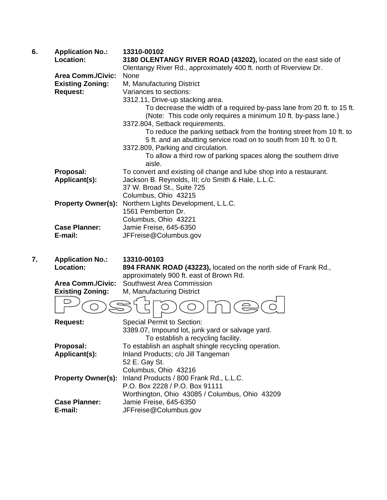| 6. | <b>Application No.:</b>   | 13310-00102                                                            |
|----|---------------------------|------------------------------------------------------------------------|
|    | Location:                 | 3180 OLENTANGY RIVER ROAD (43202), located on the east side of         |
|    |                           | Olentangy River Rd., approximately 400 ft. north of Riverview Dr.      |
|    | <b>Area Comm./Civic:</b>  | None                                                                   |
|    | <b>Existing Zoning:</b>   | M, Manufacturing District                                              |
|    | <b>Request:</b>           | Variances to sections:                                                 |
|    |                           | 3312.11, Drive-up stacking area.                                       |
|    |                           | To decrease the width of a required by-pass lane from 20 ft. to 15 ft. |
|    |                           | (Note: This code only requires a minimum 10 ft. by-pass lane.)         |
|    |                           | 3372.804, Setback requirements.                                        |
|    |                           | To reduce the parking setback from the fronting street from 10 ft. to  |
|    |                           | 5 ft. and an abutting service road on to south from 10 ft. to 0 ft.    |
|    |                           | 3372.809, Parking and circulation.                                     |
|    |                           | To allow a third row of parking spaces along the southern drive        |
|    |                           | aisle.                                                                 |
|    | Proposal:                 | To convert and existing oil change and lube shop into a restaurant.    |
|    | Applicant(s):             | Jackson B. Reynolds, III; c/o Smith & Hale, L.L.C.                     |
|    |                           | 37 W. Broad St., Suite 725                                             |
|    |                           | Columbus, Ohio 43215                                                   |
|    | <b>Property Owner(s):</b> | Northern Lights Development, L.L.C.                                    |
|    |                           | 1561 Pemberton Dr.                                                     |
|    |                           | Columbus, Ohio 43221                                                   |
|    | <b>Case Planner:</b>      | Jamie Freise, 645-6350                                                 |
|    | E-mail:                   | JFFreise@Columbus.gov                                                  |

**7. Application No.: 13310-00103 Location: 894 FRANK ROAD (43223),** located on the north side of Frank Rd., approximately 900 ft. east of Brown Rd.

**Area Comm./Civic:** Southwest Area Commission<br>**Existing Zoning:** M, Manufacturing District

**M, Manufacturing District** 



| <b>Request:</b>           | <b>Special Permit to Section:</b>                    |
|---------------------------|------------------------------------------------------|
|                           | 3389.07, Impound lot, junk yard or salvage yard.     |
|                           | To establish a recycling facility.                   |
| Proposal:                 | To establish an asphalt shingle recycling operation. |
| Applicant(s):             | Inland Products; c/o Jill Tangeman                   |
|                           | 52 E. Gay St.                                        |
|                           | Columbus, Ohio 43216                                 |
| <b>Property Owner(s):</b> | Inland Products / 800 Frank Rd., L.L.C.              |
|                           | P.O. Box 2228 / P.O. Box 91111                       |
|                           | Worthington, Ohio 43085 / Columbus, Ohio 43209       |
| <b>Case Planner:</b>      | Jamie Freise, 645-6350                               |
| E-mail:                   | JFFreise@Columbus.gov                                |
|                           |                                                      |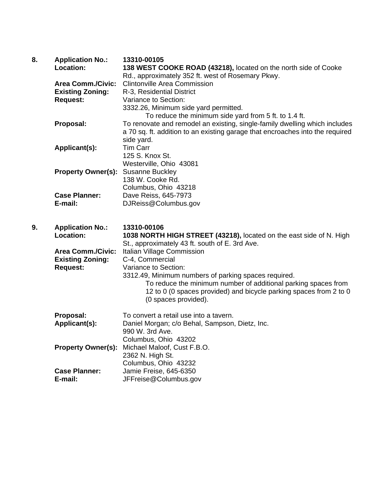| 8. | <b>Application No.:</b><br>Location:                | 13310-00105<br>138 WEST COOKE ROAD (43218), located on the north side of Cooke<br>Rd., approximately 352 ft. west of Rosemary Pkwy.                                                                                  |
|----|-----------------------------------------------------|----------------------------------------------------------------------------------------------------------------------------------------------------------------------------------------------------------------------|
|    | <b>Area Comm./Civic:</b><br><b>Existing Zoning:</b> | <b>Clintonville Area Commission</b><br>R-3, Residential District                                                                                                                                                     |
|    | <b>Request:</b>                                     | Variance to Section:                                                                                                                                                                                                 |
|    |                                                     | 3332.26, Minimum side yard permitted.<br>To reduce the minimum side yard from 5 ft. to 1.4 ft.                                                                                                                       |
|    | Proposal:                                           | To renovate and remodel an existing, single-family dwelling which includes<br>a 70 sq. ft. addition to an existing garage that encroaches into the required<br>side yard.                                            |
|    | Applicant(s):                                       | <b>Tim Carr</b>                                                                                                                                                                                                      |
|    |                                                     | 125 S. Knox St.<br>Westerville, Ohio 43081                                                                                                                                                                           |
|    | <b>Property Owner(s):</b> Susanne Buckley           |                                                                                                                                                                                                                      |
|    |                                                     | 138 W. Cooke Rd.<br>Columbus, Ohio 43218                                                                                                                                                                             |
|    | <b>Case Planner:</b><br>E-mail:                     | Dave Reiss, 645-7973<br>DJReiss@Columbus.gov                                                                                                                                                                         |
|    |                                                     |                                                                                                                                                                                                                      |
|    |                                                     |                                                                                                                                                                                                                      |
| 9. | <b>Application No.:</b><br>Location:                | 13310-00106<br>1038 NORTH HIGH STREET (43218), located on the east side of N. High                                                                                                                                   |
|    | <b>Area Comm./Civic:</b><br><b>Existing Zoning:</b> | St., approximately 43 ft. south of E. 3rd Ave.<br>Italian Village Commission                                                                                                                                         |
|    | <b>Request:</b>                                     | C-4, Commercial<br>Variance to Section:                                                                                                                                                                              |
|    |                                                     | 3312.49, Minimum numbers of parking spaces required.<br>To reduce the minimum number of additional parking spaces from<br>12 to 0 (0 spaces provided) and bicycle parking spaces from 2 to 0<br>(0 spaces provided). |
|    | Proposal:                                           | To convert a retail use into a tavern.                                                                                                                                                                               |
|    | Applicant(s):                                       | Daniel Morgan; c/o Behal, Sampson, Dietz, Inc.<br>990 W. 3rd Ave.                                                                                                                                                    |
|    |                                                     | Columbus, Ohio 43202                                                                                                                                                                                                 |
|    | <b>Property Owner(s):</b>                           | Michael Maloof, Cust F.B.O.<br>2362 N. High St.                                                                                                                                                                      |
|    | <b>Case Planner:</b>                                | Columbus, Ohio 43232<br>Jamie Freise, 645-6350                                                                                                                                                                       |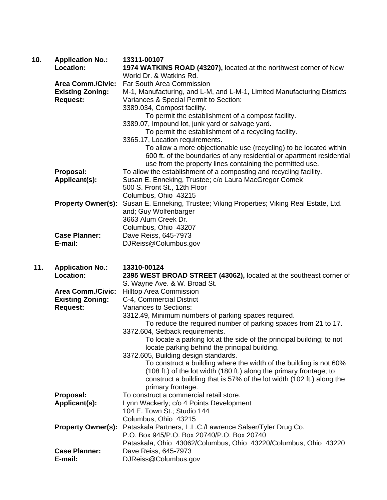| 10. | <b>Application No.:</b><br>Location:       | 13311-00107<br>1974 WATKINS ROAD (43207), located at the northwest corner of New                                                                                                                         |
|-----|--------------------------------------------|----------------------------------------------------------------------------------------------------------------------------------------------------------------------------------------------------------|
|     |                                            | World Dr. & Watkins Rd.                                                                                                                                                                                  |
|     |                                            | Area Comm./Civic: Far South Area Commission                                                                                                                                                              |
|     | <b>Existing Zoning:</b><br><b>Request:</b> | M-1, Manufacturing, and L-M, and L-M-1, Limited Manufacturing Districts<br>Variances & Special Permit to Section:                                                                                        |
|     |                                            | 3389.034, Compost facility.                                                                                                                                                                              |
|     |                                            | To permit the establishment of a compost facility.                                                                                                                                                       |
|     |                                            | 3389.07, Impound lot, junk yard or salvage yard.                                                                                                                                                         |
|     |                                            | To permit the establishment of a recycling facility.                                                                                                                                                     |
|     |                                            | 3365.17, Location requirements.                                                                                                                                                                          |
|     |                                            | To allow a more objectionable use (recycling) to be located within<br>600 ft. of the boundaries of any residential or apartment residential<br>use from the property lines containing the permitted use. |
|     | Proposal:                                  | To allow the establishment of a composting and recycling facility.                                                                                                                                       |
|     | Applicant(s):                              | Susan E. Enneking, Trustee; c/o Laura MacGregor Comek<br>500 S. Front St., 12th Floor                                                                                                                    |
|     |                                            | Columbus, Ohio 43215                                                                                                                                                                                     |
|     | <b>Property Owner(s):</b>                  | Susan E. Enneking, Trustee; Viking Properties; Viking Real Estate, Ltd.<br>and; Guy Wolfenbarger                                                                                                         |
|     |                                            | 3663 Alum Creek Dr.                                                                                                                                                                                      |
|     |                                            | Columbus, Ohio 43207                                                                                                                                                                                     |
|     | <b>Case Planner:</b>                       | Dave Reiss, 645-7973                                                                                                                                                                                     |
|     | E-mail:                                    | DJReiss@Columbus.gov                                                                                                                                                                                     |
|     |                                            |                                                                                                                                                                                                          |

| 11. | <b>Application No.:</b><br>Location: | 13310-00124<br>2395 WEST BROAD STREET (43062), located at the southeast corner of<br>S. Wayne Ave. & W. Broad St.                                                                                                                       |
|-----|--------------------------------------|-----------------------------------------------------------------------------------------------------------------------------------------------------------------------------------------------------------------------------------------|
|     | <b>Area Comm./Civic:</b>             | <b>Hilltop Area Commission</b>                                                                                                                                                                                                          |
|     | <b>Existing Zoning:</b>              | C-4, Commercial District                                                                                                                                                                                                                |
|     | <b>Request:</b>                      | Variances to Sections:                                                                                                                                                                                                                  |
|     |                                      | 3312.49, Minimum numbers of parking spaces required.                                                                                                                                                                                    |
|     |                                      | To reduce the required number of parking spaces from 21 to 17.                                                                                                                                                                          |
|     |                                      | 3372.604, Setback requirements.                                                                                                                                                                                                         |
|     |                                      | To locate a parking lot at the side of the principal building; to not                                                                                                                                                                   |
|     |                                      | locate parking behind the principal building.                                                                                                                                                                                           |
|     |                                      | 3372.605, Building design standards.                                                                                                                                                                                                    |
|     |                                      | To construct a building where the width of the building is not 60%<br>(108 ft.) of the lot width (180 ft.) along the primary frontage; to<br>construct a building that is 57% of the lot width (102 ft.) along the<br>primary frontage. |
|     | Proposal:                            | To construct a commercial retail store.                                                                                                                                                                                                 |
|     | Applicant(s):                        | Lynn Wackerly; c/o 4 Points Development                                                                                                                                                                                                 |
|     |                                      | 104 E. Town St.; Studio 144                                                                                                                                                                                                             |
|     |                                      | Columbus, Ohio 43215                                                                                                                                                                                                                    |
|     | <b>Property Owner(s):</b>            | Pataskala Partners, L.L.C./Lawrence Salser/Tyler Drug Co.                                                                                                                                                                               |
|     |                                      | P.O. Box 945/P.O. Box 20740/P.O. Box 20740                                                                                                                                                                                              |
|     |                                      | Pataskala, Ohio 43062/Columbus, Ohio 43220/Columbus, Ohio 43220                                                                                                                                                                         |
|     | <b>Case Planner:</b>                 | Dave Reiss, 645-7973                                                                                                                                                                                                                    |
|     | E-mail:                              | DJReiss@Columbus.gov                                                                                                                                                                                                                    |